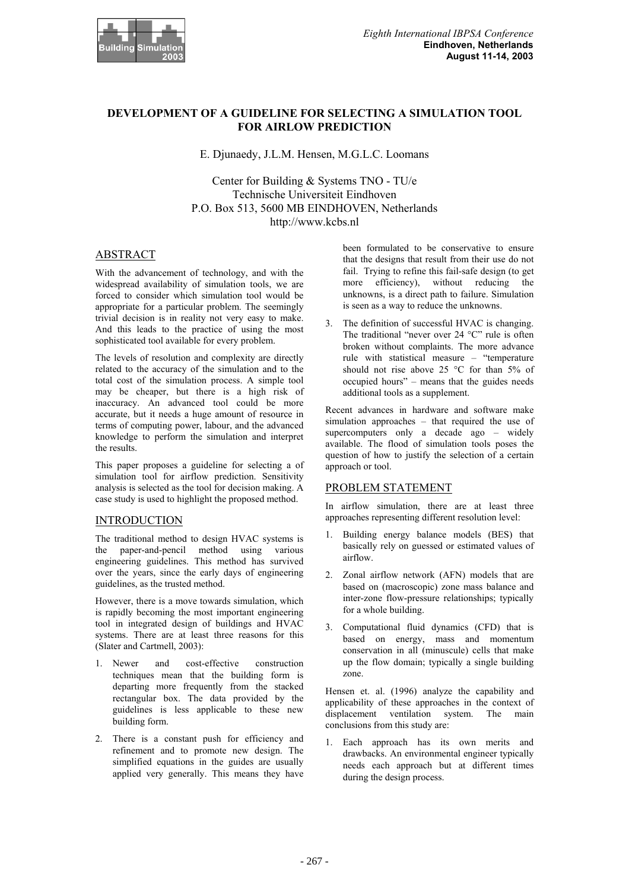

# **DEVELOPMENT OF A GUIDELINE FOR SELECTING A SIMULATION TOOL FOR AIRLOW PREDICTION**

E. Djunaedy, J.L.M. Hensen, M.G.L.C. Loomans

Center for Building & Systems TNO - TU/e Technische Universiteit Eindhoven P.O. Box 513, 5600 MB EINDHOVEN, Netherlands http://www.kcbs.nl

# ABSTRACT

With the advancement of technology, and with the widespread availability of simulation tools, we are forced to consider which simulation tool would be appropriate for a particular problem. The seemingly trivial decision is in reality not very easy to make. And this leads to the practice of using the most sophisticated tool available for every problem.

The levels of resolution and complexity are directly related to the accuracy of the simulation and to the total cost of the simulation process. A simple tool may be cheaper, but there is a high risk of inaccuracy. An advanced tool could be more accurate, but it needs a huge amount of resource in terms of computing power, labour, and the advanced knowledge to perform the simulation and interpret the results.

This paper proposes a guideline for selecting a of simulation tool for airflow prediction. Sensitivity analysis is selected as the tool for decision making. A case study is used to highlight the proposed method.

# **INTRODUCTION**

The traditional method to design HVAC systems is the paper-and-pencil method using various engineering guidelines. This method has survived over the years, since the early days of engineering guidelines, as the trusted method.

However, there is a move towards simulation, which is rapidly becoming the most important engineering tool in integrated design of buildings and HVAC systems. There are at least three reasons for this (Slater and Cartmell, 2003):

- 1. Newer and cost-effective construction techniques mean that the building form is departing more frequently from the stacked rectangular box. The data provided by the guidelines is less applicable to these new building form.
- 2. There is a constant push for efficiency and refinement and to promote new design. The simplified equations in the guides are usually applied very generally. This means they have

been formulated to be conservative to ensure that the designs that result from their use do not fail. Trying to refine this fail-safe design (to get more efficiency), without reducing the unknowns, is a direct path to failure. Simulation is seen as a way to reduce the unknowns.

3. The definition of successful HVAC is changing. The traditional "never over 24 °C" rule is often broken without complaints. The more advance rule with statistical measure – "temperature should not rise above 25 °C for than 5% of occupied hours" – means that the guides needs additional tools as a supplement.

Recent advances in hardware and software make simulation approaches – that required the use of supercomputers only a decade ago – widely available. The flood of simulation tools poses the question of how to justify the selection of a certain approach or tool.

# PROBLEM STATEMENT

In airflow simulation, there are at least three approaches representing different resolution level:

- 1. Building energy balance models (BES) that basically rely on guessed or estimated values of airflow.
- 2. Zonal airflow network (AFN) models that are based on (macroscopic) zone mass balance and inter-zone flow-pressure relationships; typically for a whole building.
- 3. Computational fluid dynamics (CFD) that is based on energy, mass and momentum conservation in all (minuscule) cells that make up the flow domain; typically a single building zone.

Hensen et. al. (1996) analyze the capability and applicability of these approaches in the context of displacement ventilation system. The main conclusions from this study are:

1. Each approach has its own merits and drawbacks. An environmental engineer typically needs each approach but at different times during the design process.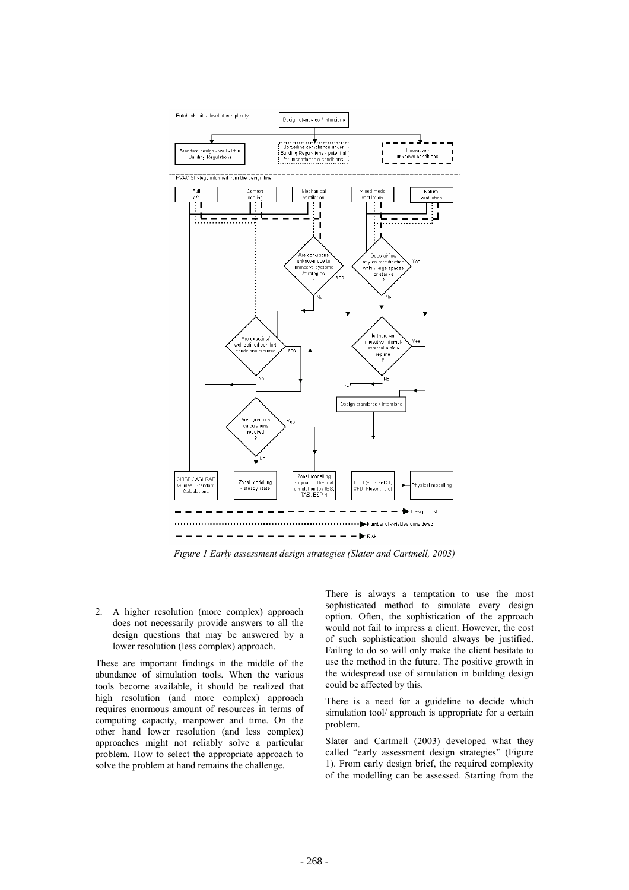

*Figure 1 Early assessment design strategies (Slater and Cartmell, 2003)* 

2. A higher resolution (more complex) approach does not necessarily provide answers to all the design questions that may be answered by a lower resolution (less complex) approach.

These are important findings in the middle of the abundance of simulation tools. When the various tools become available, it should be realized that high resolution (and more complex) approach requires enormous amount of resources in terms of computing capacity, manpower and time. On the other hand lower resolution (and less complex) approaches might not reliably solve a particular problem. How to select the appropriate approach to solve the problem at hand remains the challenge.

There is always a temptation to use the most sophisticated method to simulate every design option. Often, the sophistication of the approach would not fail to impress a client. However, the cost of such sophistication should always be justified. Failing to do so will only make the client hesitate to use the method in the future. The positive growth in the widespread use of simulation in building design could be affected by this.

There is a need for a guideline to decide which simulation tool/ approach is appropriate for a certain problem.

Slater and Cartmell (2003) developed what they called "early assessment design strategies" (Figure 1). From early design brief, the required complexity of the modelling can be assessed. Starting from the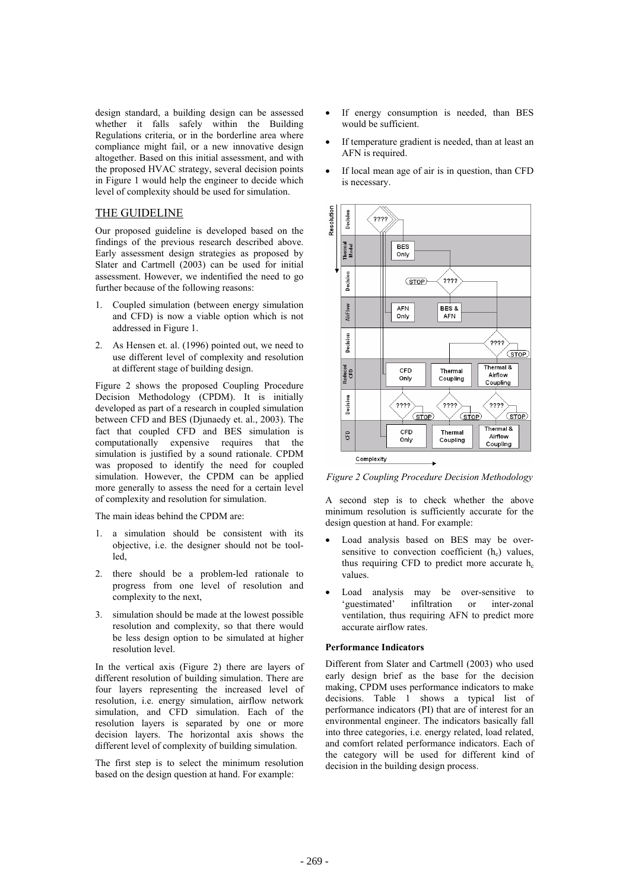design standard, a building design can be assessed whether it falls safely within the Building Regulations criteria, or in the borderline area where compliance might fail, or a new innovative design altogether. Based on this initial assessment, and with the proposed HVAC strategy, several decision points in Figure 1 would help the engineer to decide which level of complexity should be used for simulation.

# THE GUIDELINE

Our proposed guideline is developed based on the findings of the previous research described above. Early assessment design strategies as proposed by Slater and Cartmell (2003) can be used for initial assessment. However, we indentified the need to go further because of the following reasons:

- 1. Coupled simulation (between energy simulation and CFD) is now a viable option which is not addressed in Figure 1.
- 2. As Hensen et. al. (1996) pointed out, we need to use different level of complexity and resolution at different stage of building design.

Figure 2 shows the proposed Coupling Procedure Decision Methodology (CPDM). It is initially developed as part of a research in coupled simulation between CFD and BES (Djunaedy et. al., 2003). The fact that coupled CFD and BES simulation is computationally expensive requires that the simulation is justified by a sound rationale. CPDM was proposed to identify the need for coupled simulation. However, the CPDM can be applied more generally to assess the need for a certain level of complexity and resolution for simulation.

The main ideas behind the CPDM are:

- 1. a simulation should be consistent with its objective, i.e. the designer should not be toolled,
- 2. there should be a problem-led rationale to progress from one level of resolution and complexity to the next,
- 3. simulation should be made at the lowest possible resolution and complexity, so that there would be less design option to be simulated at higher resolution level.

In the vertical axis (Figure 2) there are layers of different resolution of building simulation. There are four layers representing the increased level of resolution, i.e. energy simulation, airflow network simulation, and CFD simulation. Each of the resolution layers is separated by one or more decision layers. The horizontal axis shows the different level of complexity of building simulation.

The first step is to select the minimum resolution based on the design question at hand. For example:

- If energy consumption is needed, than BES would be sufficient.
- If temperature gradient is needed, than at least an AFN is required.
- If local mean age of air is in question, than CFD is necessary.



*Figure 2 Coupling Procedure Decision Methodology* 

A second step is to check whether the above minimum resolution is sufficiently accurate for the design question at hand. For example:

- Load analysis based on BES may be oversensitive to convection coefficient  $(h<sub>c</sub>)$  values, thus requiring CFD to predict more accurate  $h_c$ values.
- Load analysis may be over-sensitive to<br>
'guestimated' infiltration or inter-zonal or inter-zonal ventilation, thus requiring AFN to predict more accurate airflow rates.

#### **Performance Indicators**

Different from Slater and Cartmell (2003) who used early design brief as the base for the decision making, CPDM uses performance indicators to make decisions. Table 1 shows a typical list of performance indicators (PI) that are of interest for an environmental engineer. The indicators basically fall into three categories, i.e. energy related, load related, and comfort related performance indicators. Each of the category will be used for different kind of decision in the building design process.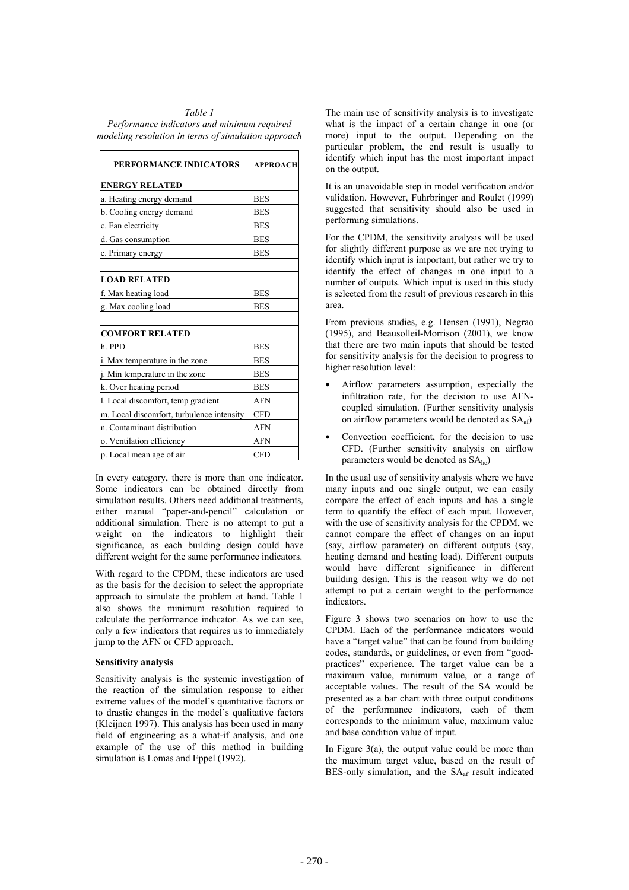| Table 1                                             |
|-----------------------------------------------------|
| Performance indicators and minimum required         |
| modeling resolution in terms of simulation approach |

| PERFORMANCE INDICATORS                    | APPROACH   |
|-------------------------------------------|------------|
| <b>ENERGY RELATED</b>                     |            |
| a. Heating energy demand                  | BES        |
| b. Cooling energy demand                  | <b>BES</b> |
| c. Fan electricity                        | <b>BES</b> |
| d. Gas consumption                        | <b>BES</b> |
| e. Primary energy                         | <b>BES</b> |
| <b>LOAD RELATED</b>                       |            |
| f. Max heating load                       | <b>BES</b> |
| g. Max cooling load                       | <b>BES</b> |
| <b>COMFORT RELATED</b>                    |            |
| h. PPD                                    | <b>BES</b> |
| i. Max temperature in the zone            | <b>BES</b> |
| j. Min temperature in the zone            | BES        |
| k. Over heating period                    | <b>BES</b> |
| l. Local discomfort, temp gradient        | <b>AFN</b> |
| m. Local discomfort, turbulence intensity | <b>CFD</b> |
| n. Contaminant distribution               | <b>AFN</b> |
| o. Ventilation efficiency                 | <b>AFN</b> |
| p. Local mean age of air                  | <b>CFD</b> |

In every category, there is more than one indicator. Some indicators can be obtained directly from simulation results. Others need additional treatments, either manual "paper-and-pencil" calculation or additional simulation. There is no attempt to put a weight on the indicators to highlight their significance, as each building design could have different weight for the same performance indicators.

With regard to the CPDM, these indicators are used as the basis for the decision to select the appropriate approach to simulate the problem at hand. Table 1 also shows the minimum resolution required to calculate the performance indicator. As we can see, only a few indicators that requires us to immediately jump to the AFN or CFD approach.

#### **Sensitivity analysis**

Sensitivity analysis is the systemic investigation of the reaction of the simulation response to either extreme values of the model's quantitative factors or to drastic changes in the model's qualitative factors (Kleijnen 1997). This analysis has been used in many field of engineering as a what-if analysis, and one example of the use of this method in building simulation is Lomas and Eppel (1992).

The main use of sensitivity analysis is to investigate what is the impact of a certain change in one (or more) input to the output. Depending on the particular problem, the end result is usually to identify which input has the most important impact on the output.

It is an unavoidable step in model verification and/or validation. However, Fuhrbringer and Roulet (1999) suggested that sensitivity should also be used in performing simulations.

For the CPDM, the sensitivity analysis will be used for slightly different purpose as we are not trying to identify which input is important, but rather we try to identify the effect of changes in one input to a number of outputs. Which input is used in this study is selected from the result of previous research in this area.

From previous studies, e.g. Hensen (1991), Negrao (1995), and Beausolleil-Morrison (2001), we know that there are two main inputs that should be tested for sensitivity analysis for the decision to progress to higher resolution level:

- Airflow parameters assumption, especially the infiltration rate, for the decision to use AFNcoupled simulation. (Further sensitivity analysis on airflow parameters would be denoted as  $SA<sub>af</sub>$ )
- Convection coefficient, for the decision to use CFD. (Further sensitivity analysis on airflow parameters would be denoted as  $SA<sub>he</sub>$ )

In the usual use of sensitivity analysis where we have many inputs and one single output, we can easily compare the effect of each inputs and has a single term to quantify the effect of each input. However, with the use of sensitivity analysis for the CPDM, we cannot compare the effect of changes on an input (say, airflow parameter) on different outputs (say, heating demand and heating load). Different outputs would have different significance in different building design. This is the reason why we do not attempt to put a certain weight to the performance indicators.

Figure 3 shows two scenarios on how to use the CPDM. Each of the performance indicators would have a "target value" that can be found from building codes, standards, or guidelines, or even from "goodpractices" experience. The target value can be a maximum value, minimum value, or a range of acceptable values. The result of the SA would be presented as a bar chart with three output conditions of the performance indicators, each of them corresponds to the minimum value, maximum value and base condition value of input.

In Figure 3(a), the output value could be more than the maximum target value, based on the result of BES-only simulation, and the SA<sub>af</sub> result indicated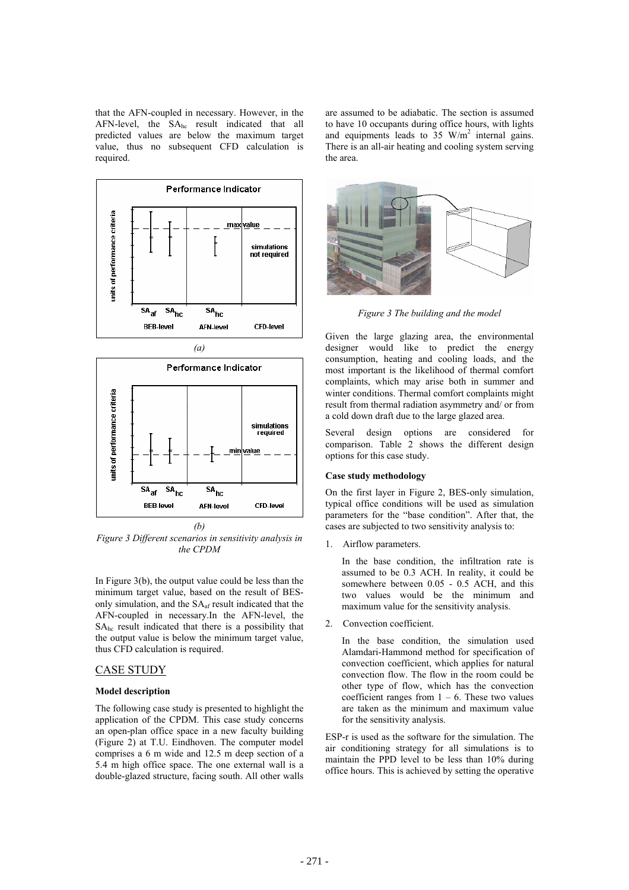that the AFN-coupled in necessary. However, in the AFN-level, the  $SA<sub>hc</sub>$  result indicated that all predicted values are below the maximum target value, thus no subsequent CFD calculation is required.



*(b)* 

*Figure 3 Different scenarios in sensitivity analysis in the CPDM* 

In Figure 3(b), the output value could be less than the minimum target value, based on the result of BESonly simulation, and the SAaf result indicated that the AFN-coupled in necessary.In the AFN-level, the SAhc result indicated that there is a possibility that the output value is below the minimum target value, thus CFD calculation is required.

## CASE STUDY

#### **Model description**

The following case study is presented to highlight the application of the CPDM. This case study concerns an open-plan office space in a new faculty building (Figure 2) at T.U. Eindhoven. The computer model comprises a 6 m wide and 12.5 m deep section of a 5.4 m high office space. The one external wall is a double-glazed structure, facing south. All other walls are assumed to be adiabatic. The section is assumed to have 10 occupants during office hours, with lights and equipments leads to  $35 \text{ W/m}^2$  internal gains. There is an all-air heating and cooling system serving the area.



*Figure 3 The building and the model* 

Given the large glazing area, the environmental designer would like to predict the energy consumption, heating and cooling loads, and the most important is the likelihood of thermal comfort complaints, which may arise both in summer and winter conditions. Thermal comfort complaints might result from thermal radiation asymmetry and/ or from a cold down draft due to the large glazed area.

Several design options are considered for comparison. Table 2 shows the different design options for this case study.

#### **Case study methodology**

On the first layer in Figure 2, BES-only simulation, typical office conditions will be used as simulation parameters for the "base condition". After that, the cases are subjected to two sensitivity analysis to:

1. Airflow parameters.

In the base condition, the infiltration rate is assumed to be 0.3 ACH. In reality, it could be somewhere between 0.05 - 0.5 ACH, and this two values would be the minimum and maximum value for the sensitivity analysis.

2. Convection coefficient.

In the base condition, the simulation used Alamdari-Hammond method for specification of convection coefficient, which applies for natural convection flow. The flow in the room could be other type of flow, which has the convection coefficient ranges from  $1 - 6$ . These two values are taken as the minimum and maximum value for the sensitivity analysis.

ESP-r is used as the software for the simulation. The air conditioning strategy for all simulations is to maintain the PPD level to be less than 10% during office hours. This is achieved by setting the operative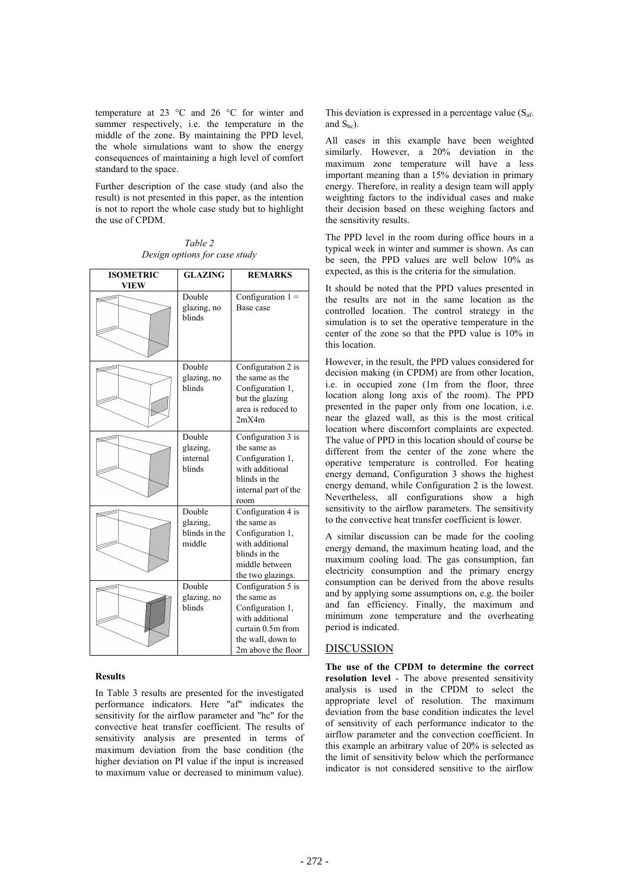temperature at 23 °C and 26 °C for winter and summer respectively, i.e. the temperature in the middle of the zone. By maintaining the PPD level, the whole simulations want to show the energy consequences of maintaining a high level of comfort standard to the space.

Further description of the case study (and also the result) is not presented in this paper, as the intention is not to report the whole case study but to highlight the use of CPDM.

| <b>ISOMETRIC</b><br><b>VIEW</b> | <b>GLAZING</b>                                | <b>REMARKS</b>                                                                                                                           |
|---------------------------------|-----------------------------------------------|------------------------------------------------------------------------------------------------------------------------------------------|
|                                 | Double<br>glazing, no<br>blinds               | Configuration $1 =$<br>Base case                                                                                                         |
|                                 | Double<br>glazing, no<br>blinds               | Configuration 2 is<br>the same as the<br>Configuration 1,<br>but the glazing<br>area is reduced to<br>2mX4m                              |
|                                 | Double<br>glazing,<br>internal<br>blinds      | Configuration 3 is<br>the same as<br>Configuration 1,<br>with additional<br>blinds in the<br>internal part of the<br>room                |
|                                 | Double<br>glazing,<br>blinds in the<br>middle | Configuration 4 is<br>the same as<br>Configuration 1,<br>with additional<br>blinds in the<br>middle between<br>the two glazings.         |
|                                 | Double<br>glazing, no<br>blinds               | Configuration 5 is<br>the same as<br>Configuration 1,<br>with additional<br>curtain 0.5m from<br>the wall, down to<br>2m above the floor |

*Table 2 Design options for case study* 

#### **Results**

In Table 3 results are presented for the investigated performance indicators. Here "af" indicates the sensitivity for the airflow parameter and "hc" for the convective heat transfer coefficient. The results of sensitivity analysis are presented in terms of maximum deviation from the base condition (the higher deviation on PI value if the input is increased to maximum value or decreased to minimum value).

This deviation is expressed in a percentage value  $(S_{\text{af.}})$ and  $S_{hc}$ ).

All cases in this example have been weighted similarly. However, a 20% deviation in the maximum zone temperature will have a less important meaning than a 15% deviation in primary energy. Therefore, in reality a design team will apply weighting factors to the individual cases and make their decision based on these weighing factors and the sensitivity results.

The PPD level in the room during office hours in a typical week in winter and summer is shown. As can be seen, the PPD values are well below 10% as expected, as this is the criteria for the simulation.

It should be noted that the PPD values presented in the results are not in the same location as the controlled location. The control strategy in the simulation is to set the operative temperature in the center of the zone so that the PPD value is 10% in this location.

However, in the result, the PPD values considered for decision making (in CPDM) are from other location, i.e. in occupied zone (1m from the floor, three location along long axis of the room). The PPD presented in the paper only from one location, i.e. near the glazed wall, as this is the most critical location where discomfort complaints are expected. The value of PPD in this location should of course be different from the center of the zone where the operative temperature is controlled. For heating energy demand, Configuration 3 shows the highest energy demand, while Configuration 2 is the lowest. Nevertheless, all configurations show a high sensitivity to the airflow parameters. The sensitivity to the convective heat transfer coefficient is lower.

A similar discussion can be made for the cooling energy demand, the maximum heating load, and the maximum cooling load. The gas consumption, fan electricity consumption and the primary energy consumption can be derived from the above results and by applying some assumptions on, e.g. the boiler and fan efficiency. Finally, the maximum and minimum zone temperature and the overheating period is indicated.

#### DISCUSSION

**The use of the CPDM to determine the correct resolution level** - The above presented sensitivity analysis is used in the CPDM to select the appropriate level of resolution. The maximum deviation from the base condition indicates the level of sensitivity of each performance indicator to the airflow parameter and the convection coefficient. In this example an arbitrary value of 20% is selected as the limit of sensitivity below which the performance indicator is not considered sensitive to the airflow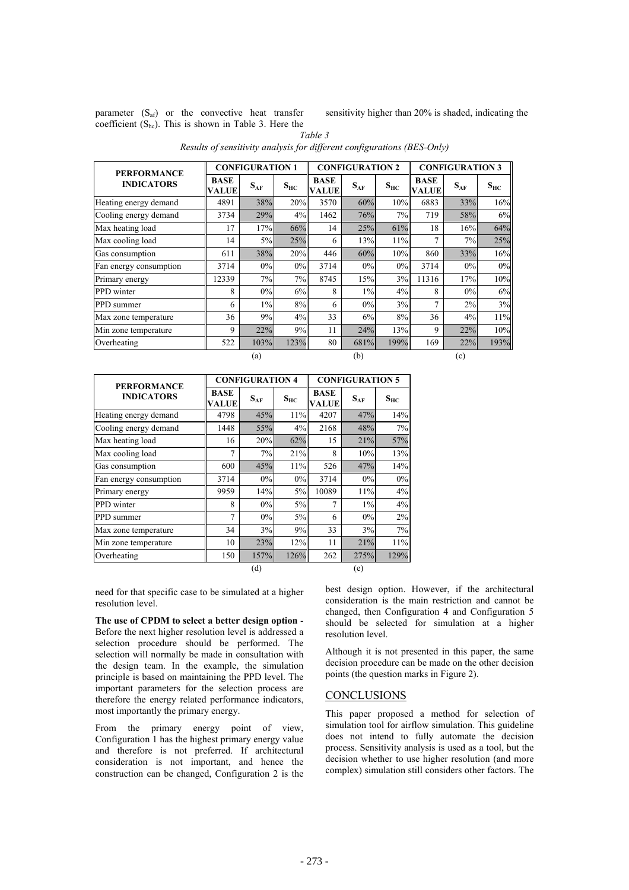parameter  $(S_{af})$  or the convective heat transfer coefficient  $(S_{hc})$ . This is shown in Table 3. Here the sensitivity higher than 20% is shaded, indicating the

**CONFIGURATION 1 CONFIGURATION 2 CONFIGURATION 3 PERFORMANCE INDICATORS VALUE**  $S_{AF}$   $S_{HC}$ **BASE VALUE**  $S_{AF}$   $S_{HC}$ **BASE VALUE**  $S_{AF}$   $S_{HC}$ Heating energy demand 4891 38% 20% 3570 60% 10% 6883 33% 16% Cooling energy demand  $3734$   $29\%$   $4\%$   $1462$   $76\%$   $7\%$   $719$   $58\%$   $6\%$ Max heating load 17 17% 66% 14 25% 61% 18 16% 64% Max cooling load 14 5% 25% 6 13% 11% 7 7% 25% Gas consumption  $\begin{array}{|c|c|c|c|c|c|c|c|c|} \hline \end{array}$  611 38% 20% 446 60% 10% 860 33% 16% Fan energy consumption  $\begin{array}{|c|c|c|c|c|c|c|c|c|} \hline \end{array}$  3714  $\begin{array}{|c|c|c|c|c|c|c|c|} \hline \end{array}$  0% 0% 3714 0% 0% 0% Primary energy 12339 7% 7% 8745 15% 3% 11316 17% 10% PPD winter 8 0% 6% 8 1% 4% 8 0% 6% PPD summer  $\begin{array}{|c|c|c|c|c|c|c|c|c|} \hline \end{array}$  6  $\begin{array}{|c|c|c|c|c|c|c|c|} \hline \end{array}$  6  $\begin{array}{|c|c|c|c|c|c|} \hline \end{array}$  0%  $\begin{array}{|c|c|c|c|c|c|} \hline \end{array}$  3% 7 2% 3% Max zone temperature  $\begin{array}{|c|c|c|c|c|c|c|c|c|} \hline \end{array}$  36 | 36 | 36 | 36 | 36 | 37 | 36 | 4% | 11% Min zone temperature 9 22% 9% 11 24% 13% 9 22% 10% Overheating 522 103% 123% 80 681% 199% 169 22% 193% (a)  $(b)$  (c)

*Table 3 Results of sensitivity analysis for different configurations (BES-Only)* 

| <b>PERFORMANCE</b><br><b>INDICATORS</b> |                      | <b>CONFIGURATION 4</b> |          |                             | <b>CONFIGURATION 5</b> |          |  |
|-----------------------------------------|----------------------|------------------------|----------|-----------------------------|------------------------|----------|--|
|                                         | <b>BASE</b><br>VALUE | $S_{AF}$               | $S_{HC}$ | <b>BASE</b><br><b>VALUE</b> | $S_{AF}$               | $S_{HC}$ |  |
| Heating energy demand                   | 4798                 | 45%                    | 11%      | 4207                        | 47%                    | 14%      |  |
| Cooling energy demand                   | 1448                 | 55%                    | $4\%$    | 2168                        | 48%                    | 7%       |  |
| Max heating load                        | 16                   | 20%                    | 62%      | 15                          | 21%                    | 57%      |  |
| Max cooling load                        | 7                    | 7%                     | 21%      | 8                           | 10%                    | 13%      |  |
| Gas consumption                         | 600                  | 45%                    | 11%      | 526                         | 47%                    | 14%      |  |
| Fan energy consumption                  | 3714                 | 0%                     | $0\%$    | 3714                        | $0\%$                  | 0%       |  |
| Primary energy                          | 9959                 | 14%                    | 5%       | 10089                       | 11%                    | 4%       |  |
| PPD winter                              | 8                    | 0%                     | 5%       | 7                           | $1\%$                  | 4%       |  |
| PPD summer                              | $\overline{7}$       | 0%                     | 5%       | 6                           | $0\%$                  | 2%       |  |
| Max zone temperature                    | 34                   | 3%                     | 9%       | 33                          | 3%                     | 7%       |  |
| Min zone temperature                    | 10                   | 23%                    | 12%      | 11                          | 21%                    | 11%      |  |
| Overheating                             | 150                  | 157%                   | 126%     | 262                         | 275%                   | 129%     |  |
|                                         |                      | (d)                    |          |                             | (e)                    |          |  |

need for that specific case to be simulated at a higher resolution level.

**The use of CPDM to select a better design option** - Before the next higher resolution level is addressed a selection procedure should be performed. The selection will normally be made in consultation with the design team. In the example, the simulation principle is based on maintaining the PPD level. The important parameters for the selection process are therefore the energy related performance indicators, most importantly the primary energy.

From the primary energy point of view, Configuration 1 has the highest primary energy value and therefore is not preferred. If architectural consideration is not important, and hence the construction can be changed, Configuration 2 is the

best design option. However, if the architectural consideration is the main restriction and cannot be changed, then Configuration 4 and Configuration 5 should be selected for simulation at a higher resolution level.

Although it is not presented in this paper, the same decision procedure can be made on the other decision points (the question marks in Figure 2).

# **CONCLUSIONS**

This paper proposed a method for selection of simulation tool for airflow simulation. This guideline does not intend to fully automate the decision process. Sensitivity analysis is used as a tool, but the decision whether to use higher resolution (and more complex) simulation still considers other factors. The